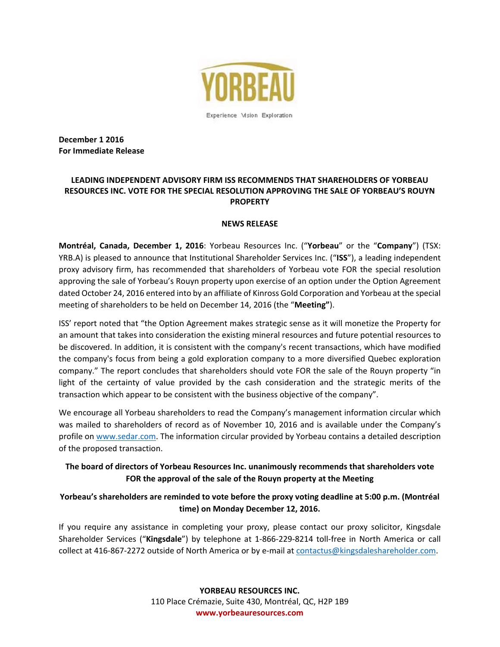

**December 1 2016 For Immediate Release** 

## **LEADING INDEPENDENT ADVISORY FIRM ISS RECOMMENDS THAT SHAREHOLDERS OF YORBEAU RESOURCES INC. VOTE FOR THE SPECIAL RESOLUTION APPROVING THE SALE OF YORBEAU'S ROUYN PROPERTY**

## **NEWS RELEASE**

**Montréal, Canada, December 1, 2016**: Yorbeau Resources Inc. ("**Yorbeau**" or the "**Company**") (TSX: YRB.A) is pleased to announce that Institutional Shareholder Services Inc. ("**ISS**"), a leading independent proxy advisory firm, has recommended that shareholders of Yorbeau vote FOR the special resolution approving the sale of Yorbeau's Rouyn property upon exercise of an option under the Option Agreement dated October 24, 2016 entered into by an affiliate of Kinross Gold Corporation and Yorbeau at the special meeting of shareholders to be held on December 14, 2016 (the "**Meeting"**).

ISS' report noted that "the Option Agreement makes strategic sense as it will monetize the Property for an amount that takes into consideration the existing mineral resources and future potential resources to be discovered. In addition, it is consistent with the company's recent transactions, which have modified the company's focus from being a gold exploration company to a more diversified Quebec exploration company." The report concludes that shareholders should vote FOR the sale of the Rouyn property "in light of the certainty of value provided by the cash consideration and the strategic merits of the transaction which appear to be consistent with the business objective of the company".

We encourage all Yorbeau shareholders to read the Company's management information circular which was mailed to shareholders of record as of November 10, 2016 and is available under the Company's profile on www.sedar.com. The information circular provided by Yorbeau contains a detailed description of the proposed transaction.

## **The board of directors of Yorbeau Resources Inc. unanimously recommends that shareholders vote FOR the approval of the sale of the Rouyn property at the Meeting**

## **Yorbeau's shareholders are reminded to vote before the proxy voting deadline at 5:00 p.m. (Montréal time) on Monday December 12, 2016.**

If you require any assistance in completing your proxy, please contact our proxy solicitor, Kingsdale Shareholder Services ("**Kingsdale**") by telephone at 1‐866‐229‐8214 toll‐free in North America or call collect at 416‐867‐2272 outside of North America or by e‐mail at contactus@kingsdaleshareholder.com.